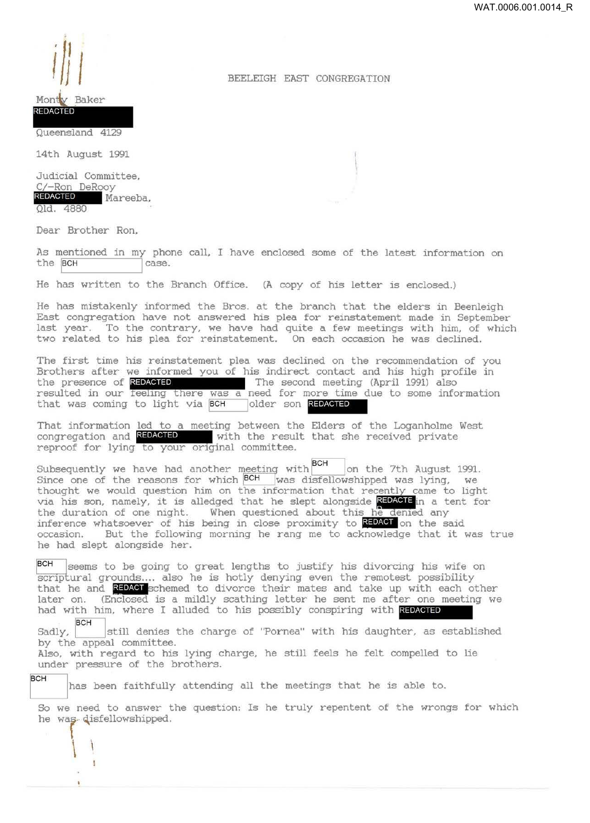## BEELEIGH EAST CONGREGATION

## Baker Montey

 $\|\|\|$ 

.

REDACTED

Queensland 4129

14th August 1991

Judicial Committee, C/-Ron DeRooy<br>REDACTED Ma Mareeba, Qld. 4880

Dear Brother Ron,

As mentioned in my phone call, I have enclosed some of the latest information on the  $BCH$  case. the BCH

He has written to the Branch Office. (A copy of his letter is enclosed.)

He has mistakenly informed the Bros. at the branch that the elders in Beenleigh East congregation have not answered his plea for reinstatement made in September last year. To the contrary, we have had quite a few meetings with him, of which two related to his plea for reinstatement. On each occasion he was declined.

The first time his reinstatement plea was declined on the recommendation of you Brothers after we informed you of his indirect contact and his high profile in He has mistakenly informed the Bros. at the branch that the elders in B<br>East congregation have not answered his plea for reinstatement made in S<br>last year. To the contrary, we have had quite a few meetings with him,<br>two re resulted in our feeling there was a need for more time due to some information that was coming to light via BCH older son REDACTED

That information led to a meeting between the Elders of the Loganholme West congregation and REDACTED with the result that she received private reproof for lying to your original committee.

Subsequently we have had another meeting with  $|BCH|$  on the 7th August 1991. Since one of the reasons for which  $\frac{BCH}{BCH}$  was disfellowshipped was lying, we thought we would question him on the information that recently came to light thought we would question him on the information that recently came to light thought we would question him on the information that recently came to light via his son, namely, it is alledged that he slept alongside  $\tfrac{\text{RDM$ the duration of one night. When questioned about this he denied any inference whatsoever of his being in close proximity to REDACT on the said occasion. But the following morning he rang me to acknowledge that it was true he had slept alongside her.

 $|BCH|$  seems to be going to great lengths to justify his divorcing his wife on scriptural grounds.... also he is hotly denying even the remotest possibility that he and REDACT schemed to divorce their mates and take up with each other later on. (Enclosed is a mildly scathing letter he sent me after one meeting we had with him, where I alluded to his possibly conspiring with REDACTED

BCH still denies the charge of "Pornea" with his daughter, as established by the appeal committee.

Also, with regard to his lying charge, he still feels he felt compelled to lie under pressure of the brothers.

 $\begin{pmatrix} 1 & 1 \\ 1 & 1 \end{pmatrix}$ 

BCH has been faithfully attending all the meetings that he is able to.

So we need to answer the question: Is he truly repentent of the wrongs for which he was disfellowshipped.